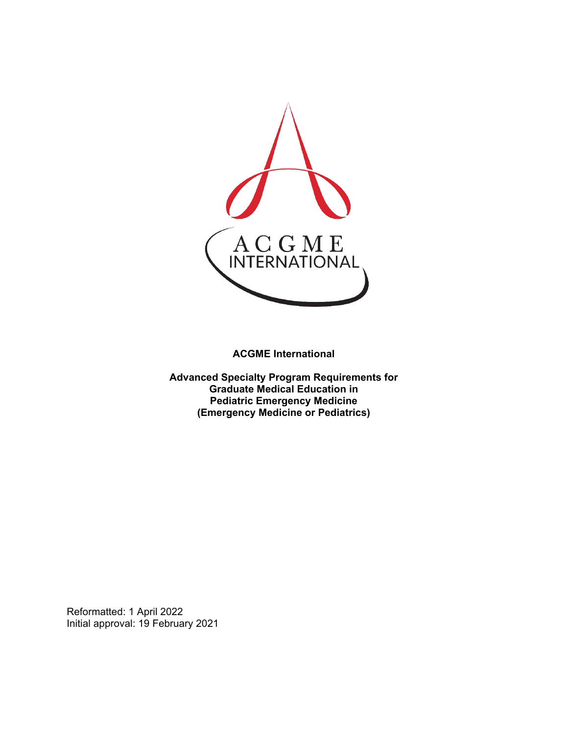

**ACGME International** 

**Advanced Specialty Program Requirements for Graduate Medical Education in Pediatric Emergency Medicine (Emergency Medicine or Pediatrics)**

Reformatted: 1 April 2022 Initial approval: 19 February 2021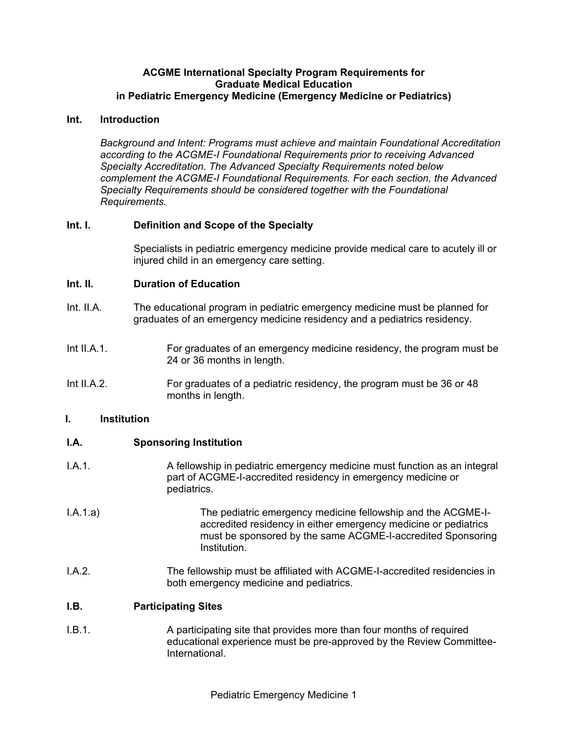#### **ACGME International Specialty Program Requirements for Graduate Medical Education in Pediatric Emergency Medicine (Emergency Medicine or Pediatrics)**

#### **Int. Introduction**

*Background and Intent: Programs must achieve and maintain Foundational Accreditation according to the ACGME-I Foundational Requirements prior to receiving Advanced Specialty Accreditation. The Advanced Specialty Requirements noted below complement the ACGME-I Foundational Requirements. For each section, the Advanced Specialty Requirements should be considered together with the Foundational Requirements.*

## **Int. I. Definition and Scope of the Specialty**

Specialists in pediatric emergency medicine provide medical care to acutely ill or injured child in an emergency care setting.

#### **Int. II. Duration of Education**

- Int. II.A. The educational program in pediatric emergency medicine must be planned for graduates of an emergency medicine residency and a pediatrics residency.
- Int II.A.1. For graduates of an emergency medicine residency, the program must be 24 or 36 months in length.
- Int II.A.2. For graduates of a pediatric residency, the program must be 36 or 48 months in length.

#### **I. Institution**

## **I.A. Sponsoring Institution**

- I.A.1. A fellowship in pediatric emergency medicine must function as an integral part of ACGME-I-accredited residency in emergency medicine or pediatrics.
- I.A.1.a) The pediatric emergency medicine fellowship and the ACGME-Iaccredited residency in either emergency medicine or pediatrics must be sponsored by the same ACGME-I-accredited Sponsoring Institution.
- I.A.2. The fellowship must be affiliated with ACGME-I-accredited residencies in both emergency medicine and pediatrics.

#### **I.B. Participating Sites**

I.B.1. A participating site that provides more than four months of required educational experience must be pre-approved by the Review Committee-International.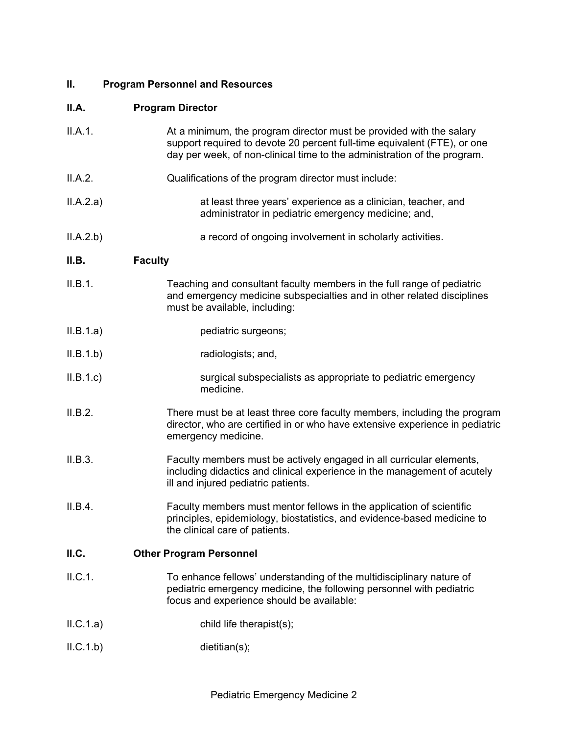# **II. Program Personnel and Resources**

# **II.A. Program Director**

| II.A.1.  | At a minimum, the program director must be provided with the salary<br>support required to devote 20 percent full-time equivalent (FTE), or one<br>day per week, of non-clinical time to the administration of the program. |
|----------|-----------------------------------------------------------------------------------------------------------------------------------------------------------------------------------------------------------------------------|
| II.A.2.  | Qualifications of the program director must include:                                                                                                                                                                        |
| ILA.2.a) | at least three years' experience as a clinician, teacher, and<br>administrator in pediatric emergency medicine; and,                                                                                                        |
| ILA.2.b) | a record of ongoing involvement in scholarly activities.                                                                                                                                                                    |
| II.B.    | <b>Faculty</b>                                                                                                                                                                                                              |
| II.B.1.  | Teaching and consultant faculty members in the full range of pediatric<br>and emergency medicine subspecialties and in other related disciplines<br>must be available, including:                                           |
| ILB.1.a) | pediatric surgeons;                                                                                                                                                                                                         |
| ILB.1.b) | radiologists; and,                                                                                                                                                                                                          |
| ILB.1.c) | surgical subspecialists as appropriate to pediatric emergency<br>medicine.                                                                                                                                                  |
| II.B.2.  | There must be at least three core faculty members, including the program<br>director, who are certified in or who have extensive experience in pediatric<br>emergency medicine.                                             |
| II.B.3.  | Faculty members must be actively engaged in all curricular elements,<br>including didactics and clinical experience in the management of acutely<br>ill and injured pediatric patients.                                     |
| II.B.4.  | Faculty members must mentor fellows in the application of scientific<br>principles, epidemiology, biostatistics, and evidence-based medicine to<br>the clinical care of patients.                                           |
| II.C.    | <b>Other Program Personnel</b>                                                                                                                                                                                              |
| II.C.1.  | To enhance fellows' understanding of the multidisciplinary nature of<br>pediatric emergency medicine, the following personnel with pediatric<br>focus and experience should be available:                                   |
| ILC.1.a) | child life therapist(s);                                                                                                                                                                                                    |
| ILC.1.b) | dietitian(s);                                                                                                                                                                                                               |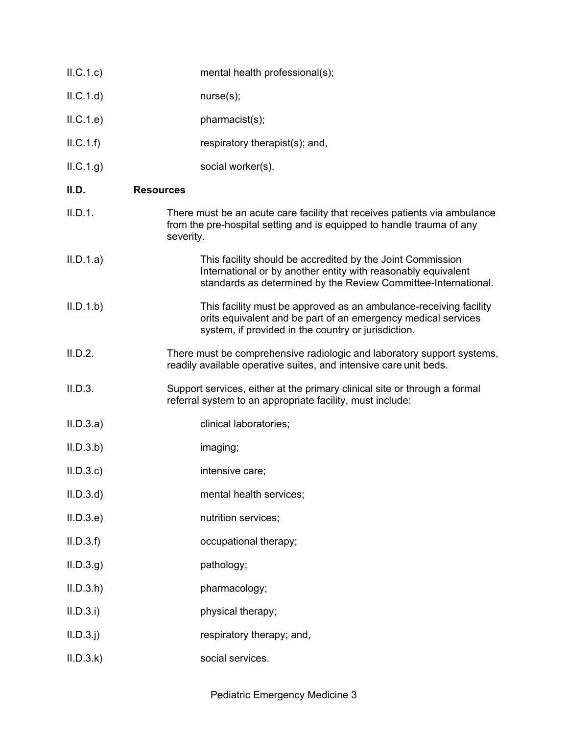| ILC.1.c)    | mental health professional(s);                                                                                                                                                                |
|-------------|-----------------------------------------------------------------------------------------------------------------------------------------------------------------------------------------------|
| ILC.1.d)    | nurse(s);                                                                                                                                                                                     |
| ILC.1.e     | pharmacist(s);                                                                                                                                                                                |
| ILC.1.f)    | respiratory therapist(s); and,                                                                                                                                                                |
| ILC.1.g)    | social worker(s).                                                                                                                                                                             |
| II.D.       | <b>Resources</b>                                                                                                                                                                              |
| II.D.1.     | There must be an acute care facility that receives patients via ambulance<br>from the pre-hospital setting and is equipped to handle trauma of any<br>severity.                               |
| II.D.1.a)   | This facility should be accredited by the Joint Commission<br>International or by another entity with reasonably equivalent<br>standards as determined by the Review Committee-International. |
| II.D.1.b)   | This facility must be approved as an ambulance-receiving facility<br>orits equivalent and be part of an emergency medical services<br>system, if provided in the country or jurisdiction.     |
| II.D.2.     | There must be comprehensive radiologic and laboratory support systems,<br>readily available operative suites, and intensive care unit beds.                                                   |
| II.D.3.     | Support services, either at the primary clinical site or through a formal<br>referral system to an appropriate facility, must include:                                                        |
| II.D.3.a)   | clinical laboratories;                                                                                                                                                                        |
| II.D.3.b)   | imaging;                                                                                                                                                                                      |
| II.D.3.c    | intensive care;                                                                                                                                                                               |
| II.D.3.d    | mental health services;                                                                                                                                                                       |
| II.D.3.e    | nutrition services;                                                                                                                                                                           |
| II.D.3.f    | occupational therapy;                                                                                                                                                                         |
| ILD.3.g     | pathology;                                                                                                                                                                                    |
| II.D.3.h    | pharmacology;                                                                                                                                                                                 |
| II.D.3.i)   | physical therapy;                                                                                                                                                                             |
| $II.D.3.$ j | respiratory therapy; and,                                                                                                                                                                     |
| II.D.3.k    | social services.                                                                                                                                                                              |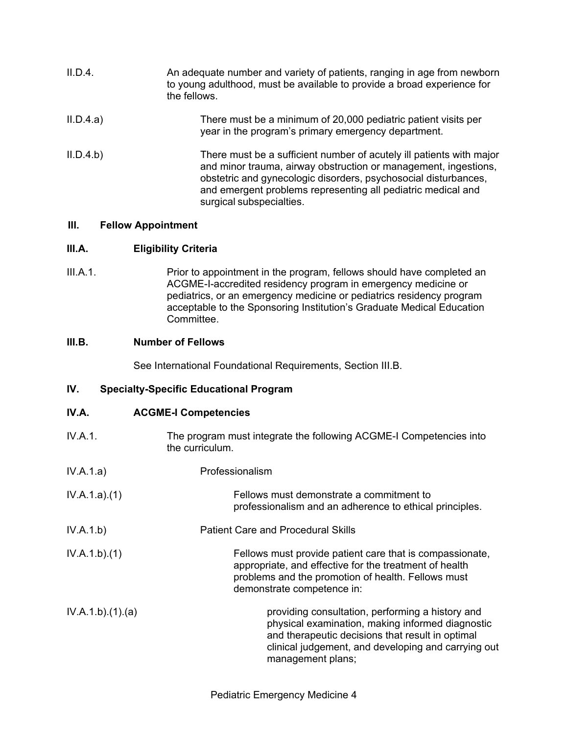| II.D.4.   | An adequate number and variety of patients, ranging in age from newborn<br>to young adulthood, must be available to provide a broad experience for<br>the fellows.                                                                                                                                     |
|-----------|--------------------------------------------------------------------------------------------------------------------------------------------------------------------------------------------------------------------------------------------------------------------------------------------------------|
| II.D.4.a) | There must be a minimum of 20,000 pediatric patient visits per<br>year in the program's primary emergency department.                                                                                                                                                                                  |
| II.D.4.b) | There must be a sufficient number of acutely ill patients with major<br>and minor trauma, airway obstruction or management, ingestions,<br>obstetric and gynecologic disorders, psychosocial disturbances,<br>and emergent problems representing all pediatric medical and<br>surgical subspecialties. |

## **III. Fellow Appointment**

## **III.A. Eligibility Criteria**

III.A.1. Prior to appointment in the program, fellows should have completed an ACGME-I-accredited residency program in emergency medicine or pediatrics, or an emergency medicine or pediatrics residency program acceptable to the Sponsoring Institution's Graduate Medical Education Committee.

## **III.B. Number of Fellows**

See International Foundational Requirements, Section III.B.

## **IV. Specialty-Specific Educational Program**

## **IV.A. ACGME-I Competencies**

- IV.A.1. The program must integrate the following ACGME-I Competencies into the curriculum.
- IV.A.1.a) Professionalism

| IV.A.1.a)(1) | Fellows must demonstrate a commitment to                |
|--------------|---------------------------------------------------------|
|              | professionalism and an adherence to ethical principles. |

- IV.A.1.b) Patient Care and Procedural Skills
- IV.A.1.b).(1) Fellows must provide patient care that is compassionate, appropriate, and effective for the treatment of health problems and the promotion of health. Fellows must demonstrate competence in:
- IV.A.1.b).(1).(a) **providing consultation, performing a history and** physical examination, making informed diagnostic and therapeutic decisions that result in optimal clinical judgement, and developing and carrying out management plans;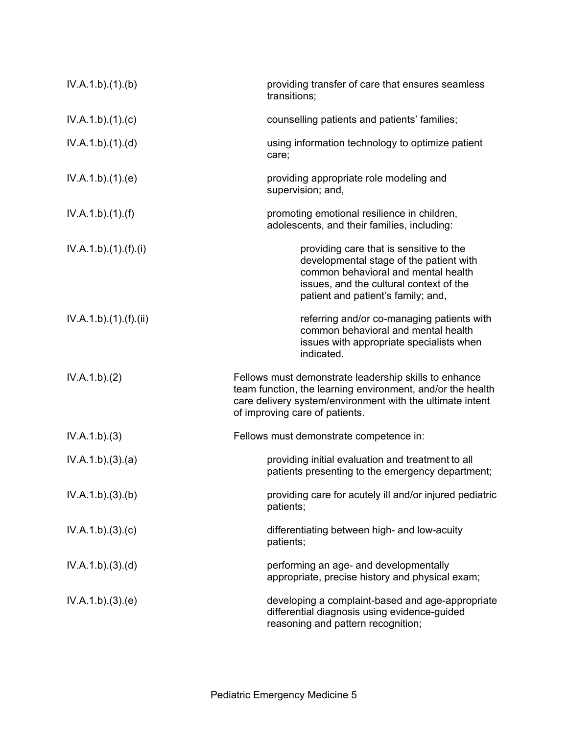| IV.A.1.b)(1)(b)     | providing transfer of care that ensures seamless<br>transitions;                                                                                                                                                   |
|---------------------|--------------------------------------------------------------------------------------------------------------------------------------------------------------------------------------------------------------------|
| IV.A.1.b)(1)(c)     | counselling patients and patients' families;                                                                                                                                                                       |
| IV.A.1.b)(1)(d)     | using information technology to optimize patient<br>care;                                                                                                                                                          |
| IV.A.1.b)(1)(e)     | providing appropriate role modeling and<br>supervision; and,                                                                                                                                                       |
| IV.A.1.b)(1)(f)     | promoting emotional resilience in children,<br>adolescents, and their families, including:                                                                                                                         |
| IV.A.1.b)(1).(f)(i) | providing care that is sensitive to the<br>developmental stage of the patient with<br>common behavioral and mental health<br>issues, and the cultural context of the<br>patient and patient's family; and,         |
| IV.A.1.b)(1)(f)(ii) | referring and/or co-managing patients with<br>common behavioral and mental health<br>issues with appropriate specialists when<br>indicated.                                                                        |
| IV.A.1.b)(2)        | Fellows must demonstrate leadership skills to enhance<br>team function, the learning environment, and/or the health<br>care delivery system/environment with the ultimate intent<br>of improving care of patients. |
| IV.A.1.b)(3)        | Fellows must demonstrate competence in:                                                                                                                                                                            |
| IV.A.1.b)(3)(a)     | providing initial evaluation and treatment to all<br>patients presenting to the emergency department;                                                                                                              |
| IV.A.1.b)(3)(b)     | providing care for acutely ill and/or injured pediatric<br>patients;                                                                                                                                               |
| IV.A.1.b)(3)(c)     | differentiating between high- and low-acuity<br>patients;                                                                                                                                                          |
| IV.A.1.b)(3)(d)     | performing an age- and developmentally<br>appropriate, precise history and physical exam;                                                                                                                          |
| IV.A.1.b)(3)(e)     | developing a complaint-based and age-appropriate<br>differential diagnosis using evidence-guided<br>reasoning and pattern recognition;                                                                             |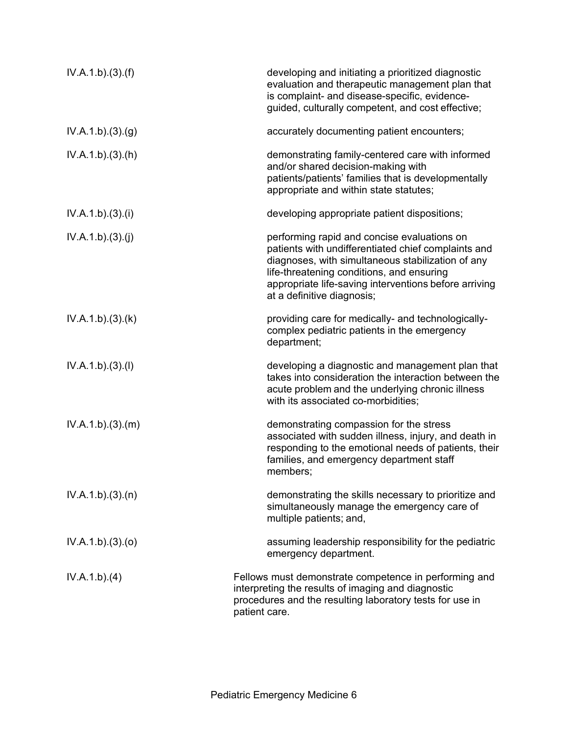| IV.A.1.b)(3)(f) | developing and initiating a prioritized diagnostic<br>evaluation and therapeutic management plan that<br>is complaint- and disease-specific, evidence-<br>guided, culturally competent, and cost effective;                                                                                 |
|-----------------|---------------------------------------------------------------------------------------------------------------------------------------------------------------------------------------------------------------------------------------------------------------------------------------------|
| IV.A.1.b)(3)(g) | accurately documenting patient encounters;                                                                                                                                                                                                                                                  |
| IV.A.1.b)(3)(h) | demonstrating family-centered care with informed<br>and/or shared decision-making with<br>patients/patients' families that is developmentally<br>appropriate and within state statutes;                                                                                                     |
| IV.A.1.b)(3)(i) | developing appropriate patient dispositions;                                                                                                                                                                                                                                                |
| IV.A.1.b)(3)(j) | performing rapid and concise evaluations on<br>patients with undifferentiated chief complaints and<br>diagnoses, with simultaneous stabilization of any<br>life-threatening conditions, and ensuring<br>appropriate life-saving interventions before arriving<br>at a definitive diagnosis; |
| IV.A.1.b)(3)(k) | providing care for medically- and technologically-<br>complex pediatric patients in the emergency<br>department;                                                                                                                                                                            |
| IV.A.1.b)(3)(I) | developing a diagnostic and management plan that<br>takes into consideration the interaction between the<br>acute problem and the underlying chronic illness<br>with its associated co-morbidities;                                                                                         |
| IV.A.1.b)(3)(m) | demonstrating compassion for the stress<br>associated with sudden illness, injury, and death in<br>responding to the emotional needs of patients, their<br>families, and emergency department staff<br>members;                                                                             |
| IV.A.1.b)(3)(n) | demonstrating the skills necessary to prioritize and<br>simultaneously manage the emergency care of<br>multiple patients; and,                                                                                                                                                              |
| IV.A.1.b)(3)(o) | assuming leadership responsibility for the pediatric<br>emergency department.                                                                                                                                                                                                               |
| IV.A.1.b)(4)    | Fellows must demonstrate competence in performing and<br>interpreting the results of imaging and diagnostic<br>procedures and the resulting laboratory tests for use in<br>patient care.                                                                                                    |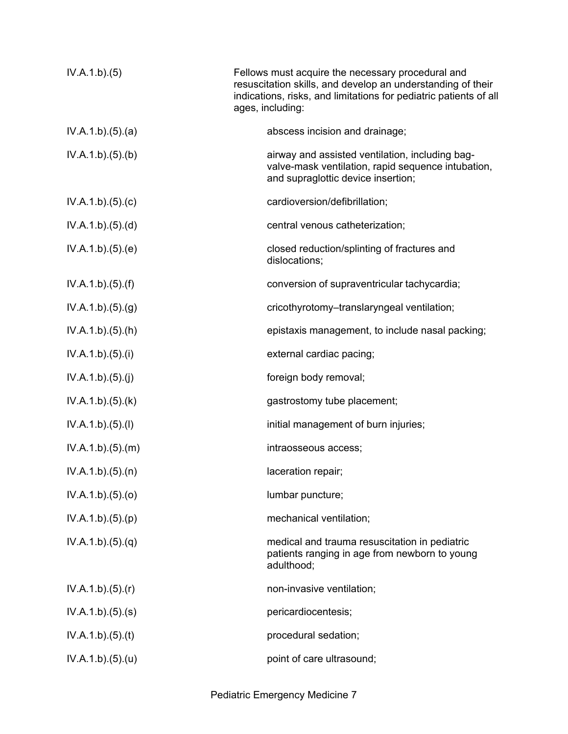| IV.A.1.b)(5)     | Fellows must acquire the necessary procedural and<br>resuscitation skills, and develop an understanding of their<br>indications, risks, and limitations for pediatric patients of all<br>ages, including: |
|------------------|-----------------------------------------------------------------------------------------------------------------------------------------------------------------------------------------------------------|
| IV.A.1.b)(5)(a)  | abscess incision and drainage;                                                                                                                                                                            |
| IV.A.1.b)(5)(b)  | airway and assisted ventilation, including bag-<br>valve-mask ventilation, rapid sequence intubation,<br>and supraglottic device insertion;                                                               |
| IV.A.1.b)(5)(c)  | cardioversion/defibrillation;                                                                                                                                                                             |
| IV.A.1.b)(5)(d)  | central venous catheterization;                                                                                                                                                                           |
| IV.A.1.b)(5)(e)  | closed reduction/splinting of fractures and<br>dislocations;                                                                                                                                              |
| IV.A.1.b)(5)(f)  | conversion of supraventricular tachycardia;                                                                                                                                                               |
| IV.A.1.b)(5)(g)  | cricothyrotomy-translaryngeal ventilation;                                                                                                                                                                |
| IV.A.1.b)(5).(h) | epistaxis management, to include nasal packing;                                                                                                                                                           |
| IV.A.1.b)(5)(i)  | external cardiac pacing;                                                                                                                                                                                  |
| IV.A.1.b)(5)(j)  | foreign body removal;                                                                                                                                                                                     |
| IV.A.1.b)(5)(k)  | gastrostomy tube placement;                                                                                                                                                                               |
| IV.A.1.b)(5)(I)  | initial management of burn injuries;                                                                                                                                                                      |
| IV.A.1.b)(5)(m)  | intraosseous access;                                                                                                                                                                                      |
| IV.A.1.b)(5)(n)  | laceration repair;                                                                                                                                                                                        |
| IV.A.1.b)(5)(o)  | lumbar puncture;                                                                                                                                                                                          |
| IV.A.1.b)(5)(p)  | mechanical ventilation;                                                                                                                                                                                   |
| IV.A.1.b)(5)(q)  | medical and trauma resuscitation in pediatric<br>patients ranging in age from newborn to young<br>adulthood;                                                                                              |
| IV.A.1.b)(5)(r)  | non-invasive ventilation;                                                                                                                                                                                 |
| IV.A.1.b)(5)(s)  | pericardiocentesis;                                                                                                                                                                                       |
| IV.A.1.b)(5)(t)  | procedural sedation;                                                                                                                                                                                      |
| IV.A.1.b)(5)(u)  | point of care ultrasound;                                                                                                                                                                                 |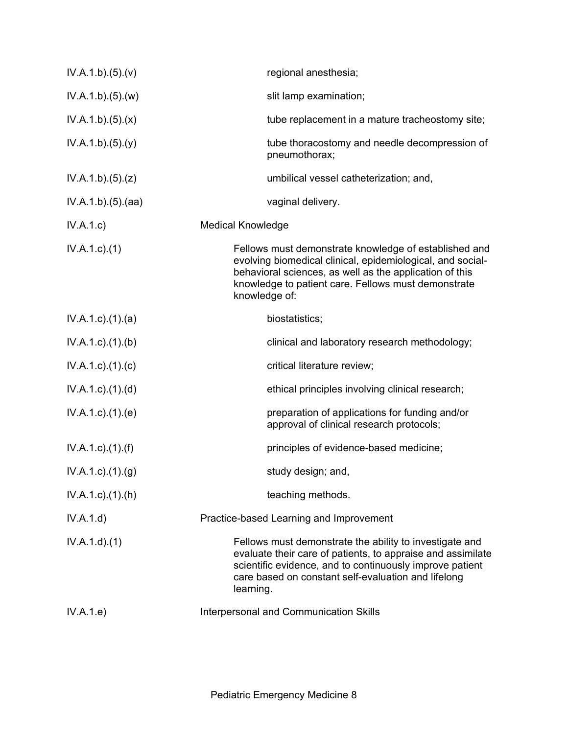| regional anesthesia;                                                                                                                                                                                                                                   |
|--------------------------------------------------------------------------------------------------------------------------------------------------------------------------------------------------------------------------------------------------------|
| slit lamp examination;                                                                                                                                                                                                                                 |
| tube replacement in a mature tracheostomy site;                                                                                                                                                                                                        |
| tube thoracostomy and needle decompression of<br>pneumothorax;                                                                                                                                                                                         |
| umbilical vessel catheterization; and,                                                                                                                                                                                                                 |
| vaginal delivery.                                                                                                                                                                                                                                      |
| <b>Medical Knowledge</b>                                                                                                                                                                                                                               |
| Fellows must demonstrate knowledge of established and<br>evolving biomedical clinical, epidemiological, and social-<br>behavioral sciences, as well as the application of this<br>knowledge to patient care. Fellows must demonstrate<br>knowledge of: |
| biostatistics;                                                                                                                                                                                                                                         |
| clinical and laboratory research methodology;                                                                                                                                                                                                          |
| critical literature review;                                                                                                                                                                                                                            |
| ethical principles involving clinical research;                                                                                                                                                                                                        |
| preparation of applications for funding and/or<br>approval of clinical research protocols;                                                                                                                                                             |
| principles of evidence-based medicine;                                                                                                                                                                                                                 |
| study design; and,                                                                                                                                                                                                                                     |
| teaching methods.                                                                                                                                                                                                                                      |
| Practice-based Learning and Improvement                                                                                                                                                                                                                |
| Fellows must demonstrate the ability to investigate and<br>evaluate their care of patients, to appraise and assimilate<br>scientific evidence, and to continuously improve patient<br>care based on constant self-evaluation and lifelong<br>learning. |
| Interpersonal and Communication Skills                                                                                                                                                                                                                 |
|                                                                                                                                                                                                                                                        |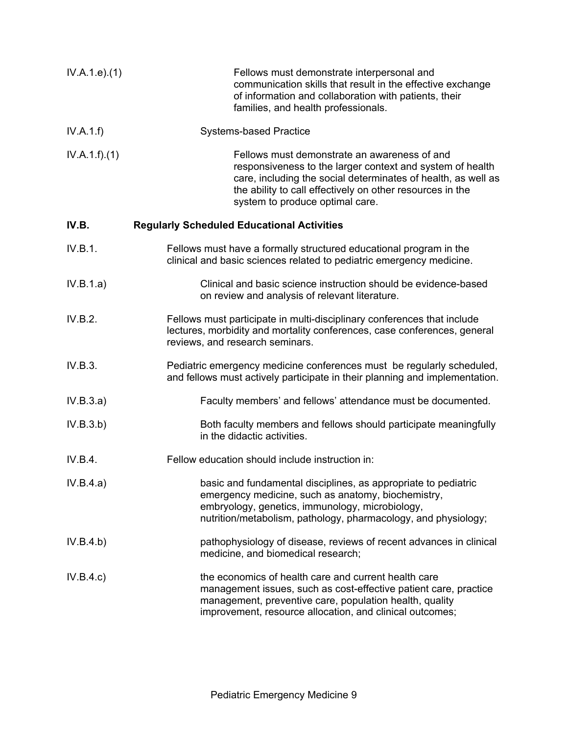| IV.A.1.e. (1) | Fellows must demonstrate interpersonal and<br>communication skills that result in the effective exchange<br>of information and collaboration with patients, their<br>families, and health professionals.                                                                   |
|---------------|----------------------------------------------------------------------------------------------------------------------------------------------------------------------------------------------------------------------------------------------------------------------------|
| IV.A.1.f      | <b>Systems-based Practice</b>                                                                                                                                                                                                                                              |
| IV.A.1.f)(1)  | Fellows must demonstrate an awareness of and<br>responsiveness to the larger context and system of health<br>care, including the social determinates of health, as well as<br>the ability to call effectively on other resources in the<br>system to produce optimal care. |
| IV.B.         | <b>Regularly Scheduled Educational Activities</b>                                                                                                                                                                                                                          |
| IV.B.1.       | Fellows must have a formally structured educational program in the<br>clinical and basic sciences related to pediatric emergency medicine.                                                                                                                                 |
| IV.B.1.a)     | Clinical and basic science instruction should be evidence-based<br>on review and analysis of relevant literature.                                                                                                                                                          |
| IV.B.2.       | Fellows must participate in multi-disciplinary conferences that include<br>lectures, morbidity and mortality conferences, case conferences, general<br>reviews, and research seminars.                                                                                     |
| IV.B.3.       | Pediatric emergency medicine conferences must be regularly scheduled,<br>and fellows must actively participate in their planning and implementation.                                                                                                                       |
| IV.B.3.a)     | Faculty members' and fellows' attendance must be documented.                                                                                                                                                                                                               |
| IV.B.3.b)     | Both faculty members and fellows should participate meaningfully<br>in the didactic activities.                                                                                                                                                                            |
| IV.B.4.       | Fellow education should include instruction in:                                                                                                                                                                                                                            |
| IV.B.4.a)     | basic and fundamental disciplines, as appropriate to pediatric<br>emergency medicine, such as anatomy, biochemistry,<br>embryology, genetics, immunology, microbiology,<br>nutrition/metabolism, pathology, pharmacology, and physiology;                                  |
| IV.B.4.b)     | pathophysiology of disease, reviews of recent advances in clinical<br>medicine, and biomedical research;                                                                                                                                                                   |
| IV.B.4.c)     | the economics of health care and current health care<br>management issues, such as cost-effective patient care, practice<br>management, preventive care, population health, quality<br>improvement, resource allocation, and clinical outcomes;                            |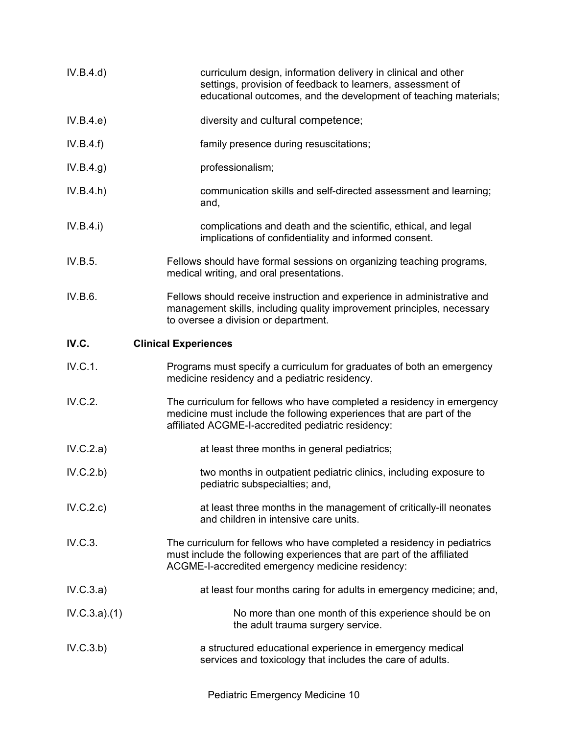| IV.B.4.d)    | curriculum design, information delivery in clinical and other<br>settings, provision of feedback to learners, assessment of<br>educational outcomes, and the development of teaching materials;       |
|--------------|-------------------------------------------------------------------------------------------------------------------------------------------------------------------------------------------------------|
| IV.B.4.e     | diversity and cultural competence;                                                                                                                                                                    |
| IV.B.4.f)    | family presence during resuscitations;                                                                                                                                                                |
| IV.B.4.g)    | professionalism;                                                                                                                                                                                      |
| IV.B.4.h)    | communication skills and self-directed assessment and learning;<br>and,                                                                                                                               |
| IV.B.4.i)    | complications and death and the scientific, ethical, and legal<br>implications of confidentiality and informed consent.                                                                               |
| IV.B.5.      | Fellows should have formal sessions on organizing teaching programs,<br>medical writing, and oral presentations.                                                                                      |
| IV.B.6.      | Fellows should receive instruction and experience in administrative and<br>management skills, including quality improvement principles, necessary<br>to oversee a division or department.             |
| IV.C.        | <b>Clinical Experiences</b>                                                                                                                                                                           |
| IV.C.1.      | Programs must specify a curriculum for graduates of both an emergency<br>medicine residency and a pediatric residency.                                                                                |
| IV.C.2.      | The curriculum for fellows who have completed a residency in emergency<br>medicine must include the following experiences that are part of the<br>affiliated ACGME-I-accredited pediatric residency:  |
| IV.C.2.a)    | at least three months in general pediatrics;                                                                                                                                                          |
| IV.C.2.b)    | two months in outpatient pediatric clinics, including exposure to<br>pediatric subspecialties; and,                                                                                                   |
| IV.C.2.c)    | at least three months in the management of critically-ill neonates<br>and children in intensive care units.                                                                                           |
| IV.C.3.      | The curriculum for fellows who have completed a residency in pediatrics<br>must include the following experiences that are part of the affiliated<br>ACGME-I-accredited emergency medicine residency: |
| IV.C.3.a)    | at least four months caring for adults in emergency medicine; and,                                                                                                                                    |
| IV.C.3.a)(1) | No more than one month of this experience should be on<br>the adult trauma surgery service.                                                                                                           |
| IV.C.3.b)    | a structured educational experience in emergency medical<br>services and toxicology that includes the care of adults.                                                                                 |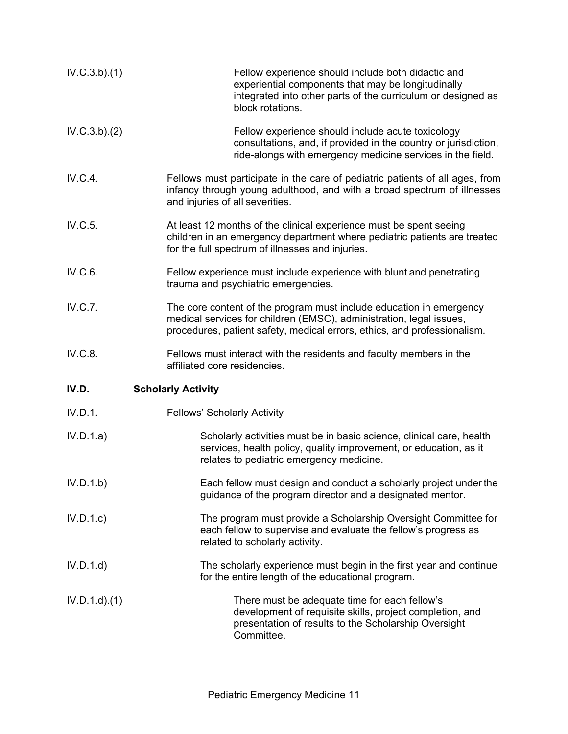| IV.C.3.b)(1)     | Fellow experience should include both didactic and<br>experiential components that may be longitudinally<br>integrated into other parts of the curriculum or designed as<br>block rotations.                           |
|------------------|------------------------------------------------------------------------------------------------------------------------------------------------------------------------------------------------------------------------|
| IV.C.3.b)(2)     | Fellow experience should include acute toxicology<br>consultations, and, if provided in the country or jurisdiction,<br>ride-alongs with emergency medicine services in the field.                                     |
| IV.C.4.          | Fellows must participate in the care of pediatric patients of all ages, from<br>infancy through young adulthood, and with a broad spectrum of illnesses<br>and injuries of all severities.                             |
| IV.C.5.          | At least 12 months of the clinical experience must be spent seeing<br>children in an emergency department where pediatric patients are treated<br>for the full spectrum of illnesses and injuries.                     |
| IV.C.6.          | Fellow experience must include experience with blunt and penetrating<br>trauma and psychiatric emergencies.                                                                                                            |
| IV.C.7.          | The core content of the program must include education in emergency<br>medical services for children (EMSC), administration, legal issues,<br>procedures, patient safety, medical errors, ethics, and professionalism. |
| IV.C.8.          | Fellows must interact with the residents and faculty members in the<br>affiliated core residencies.                                                                                                                    |
| IV.D.            | <b>Scholarly Activity</b>                                                                                                                                                                                              |
| IV.D.1.          | <b>Fellows' Scholarly Activity</b>                                                                                                                                                                                     |
| IV.D.1.a)        | Scholarly activities must be in basic science, clinical care, health<br>services, health policy, quality improvement, or education, as it<br>relates to pediatric emergency medicine.                                  |
| IV.D.1.b)        | Each fellow must design and conduct a scholarly project under the<br>guidance of the program director and a designated mentor.                                                                                         |
| IV.D.1.c         | The program must provide a Scholarship Oversight Committee for<br>each fellow to supervise and evaluate the fellow's progress as<br>related to scholarly activity.                                                     |
| IV.D.1.d         | The scholarly experience must begin in the first year and continue<br>for the entire length of the educational program.                                                                                                |
| $IV.D.1.d$ $(1)$ | There must be adequate time for each fellow's<br>development of requisite skills, project completion, and<br>presentation of results to the Scholarship Oversight<br>Committee.                                        |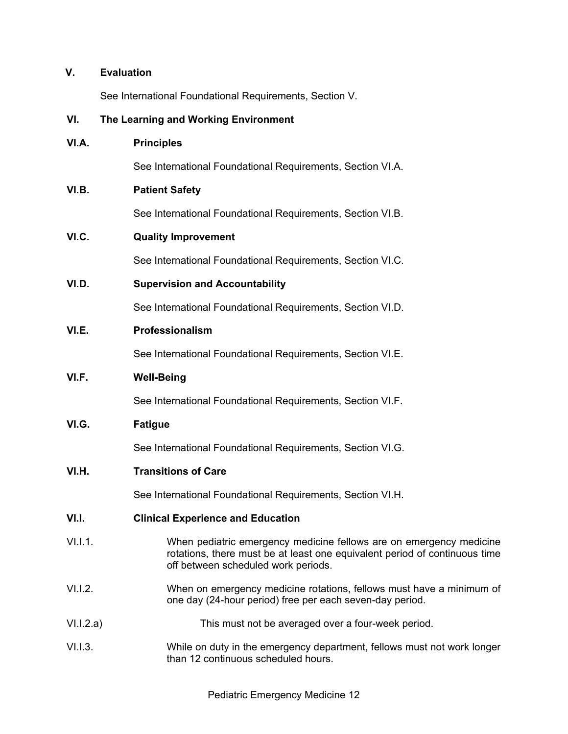# **V. Evaluation**

See International Foundational Requirements, Section V.

# **VI. The Learning and Working Environment**

| VI.A.     | <b>Principles</b>                                                                                                                                                                        |
|-----------|------------------------------------------------------------------------------------------------------------------------------------------------------------------------------------------|
|           | See International Foundational Requirements, Section VI.A.                                                                                                                               |
| VI.B.     | <b>Patient Safety</b>                                                                                                                                                                    |
|           | See International Foundational Requirements, Section VI.B.                                                                                                                               |
| VI.C.     | <b>Quality Improvement</b>                                                                                                                                                               |
|           | See International Foundational Requirements, Section VI.C.                                                                                                                               |
| VI.D.     | <b>Supervision and Accountability</b>                                                                                                                                                    |
|           | See International Foundational Requirements, Section VI.D.                                                                                                                               |
| VI.E.     | Professionalism                                                                                                                                                                          |
|           | See International Foundational Requirements, Section VI.E.                                                                                                                               |
| VI.F.     | <b>Well-Being</b>                                                                                                                                                                        |
|           | See International Foundational Requirements, Section VI.F.                                                                                                                               |
| VI.G.     | <b>Fatigue</b>                                                                                                                                                                           |
|           | See International Foundational Requirements, Section VI.G.                                                                                                                               |
| VI.H.     | <b>Transitions of Care</b>                                                                                                                                                               |
|           | See International Foundational Requirements, Section VI.H.                                                                                                                               |
| VI.I.     | <b>Clinical Experience and Education</b>                                                                                                                                                 |
| VIL.1.1   | When pediatric emergency medicine fellows are on emergency medicine<br>rotations, there must be at least one equivalent period of continuous time<br>off between scheduled work periods. |
| V1.1.2.   | When on emergency medicine rotations, fellows must have a minimum of<br>one day (24-hour period) free per each seven-day period.                                                         |
| V1.1.2.a) | This must not be averaged over a four-week period.                                                                                                                                       |
| V1.1.3.   | While on duty in the emergency department, fellows must not work longer<br>than 12 continuous scheduled hours.                                                                           |